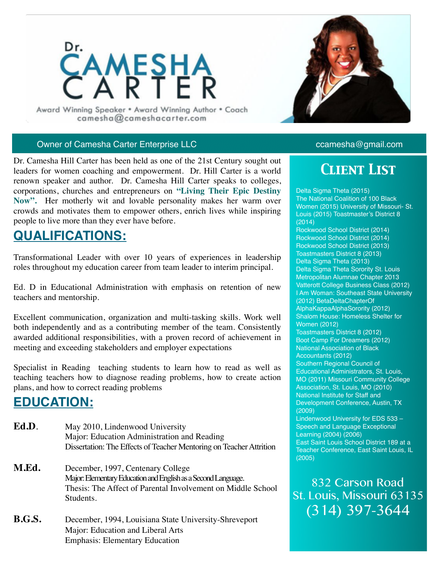

Award Winning Speaker . Award Winning Author . Coach camesha@cameshacarter.com

#### Owner of Camesha Carter Enterprise LLC camesha@gmail.com

Dr. Camesha Hill Carter has been held as one of the 21st Century sought out leaders for women coaching and empowerment. Dr. Hill Carter is a world renown speaker and author. Dr. Camesha Hill Carter speaks to colleges, corporations, churches and entrepreneurs on **"Living Their Epic Destiny Now".** Her motherly wit and lovable personality makes her warm over crowds and motivates them to empower others, enrich lives while inspiring people to live more than they ever have before.

## **QUALIFICATIONS:**

Transformational Leader with over 10 years of experiences in leadership roles throughout my education career from team leader to interim principal.

Ed. D in Educational Administration with emphasis on retention of new teachers and mentorship.

Excellent communication, organization and multi-tasking skills. Work well both independently and as a contributing member of the team. Consistently awarded additional responsibilities, with a proven record of achievement in meeting and exceeding stakeholders and employer expectations

Specialist in Reading teaching students to learn how to read as well as teaching teachers how to diagnose reading problems, how to create action plans, and how to correct reading problems

### **EDUCATION:**

- Ed.D. May 2010, Lindenwood University Major: Education Administration and Reading Dissertation: The Effects of Teacher Mentoring on Teacher Attrition
- **M.Ed.** December, 1997, Centenary College Major: Elementary Education and English as a Second Language. Thesis: The Affect of Parental Involvement on Middle School Students.
- **B.G.S.** December, 1994, Louisiana State University-Shreveport Major: Education and Liberal Arts Emphasis: Elementary Education



# *Client List*

Delta Sigma Theta (2015) The National Coalition of 100 Black Women (2015) University of Missouri- St. Louis (2015) Toastmaster's District 8 (2014) Rockwood School District (2014) Rockwood School District (2014) Rockwood School District (2013) Toastmasters District 8 (2013) Delta Sigma Theta (2013) Delta Sigma Theta Sorority St. Louis Metropolitan Alumnae Chapter 2013 Vatterott College Business Class (2012) I Am Woman: Southeast State University (2012) BetaDeltaChapterOf AlphaKappaAlphaSorority (2012) Shalom House: Homeless Shelter for Women (2012) Toastmasters District 8 (2012) Boot Camp For Dreamers (2012) National Association of Black Accountants (2012) Southern Regional Council of Educational Administrators, St. Louis, MO (2011) Missouri Community College Association, St. Louis, MO (2010) National Institute for Staff and Development Conference, Austin, TX (2009) Lindenwood University for EDS 533 – Speech and Language Exceptional Learning (2004) (2006) East Saint Louis School District 189 at a Teacher Conference, East Saint Louis, IL (2005)

832 Carson Road St. Louis, Missouri 63135 (314) 397-3644